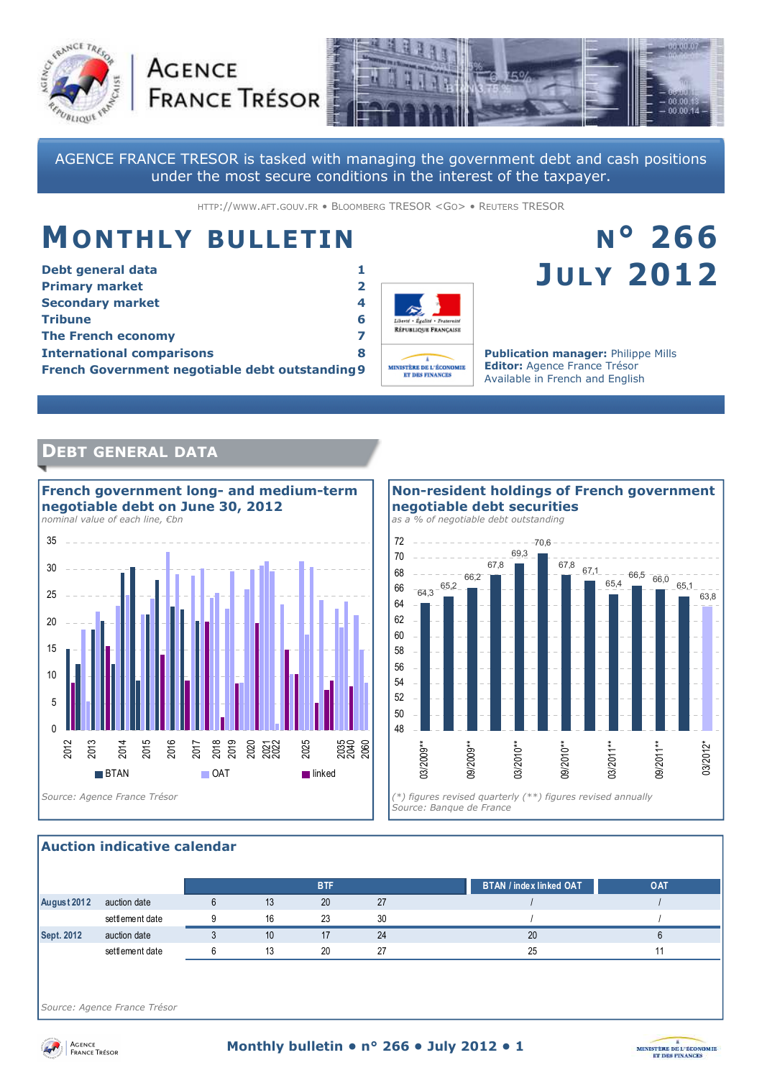



AGENCE FRANCE TRESOR is tasked with managing the government debt and cash positions under the most secure conditions in the interest of the taxpayer.

HTTP://WWW.AFT.GOUV.FR • BLOOMBERG TRESOR <GO> • REUTERS TRESOR

# **MONTHLY BULLETIN**

**AGENCE** 

| Debt general data                                      |   |
|--------------------------------------------------------|---|
| <b>Primary market</b>                                  | 2 |
| <b>Secondary market</b>                                | 4 |
| <b>Tribune</b>                                         | 6 |
| <b>The French economy</b>                              |   |
| <b>International comparisons</b>                       | 8 |
| <b>French Government negotiable debt outstanding 9</b> |   |



# **N° 266 JULY 2012**

**Publication manager:** Philippe Mills **Editor:** Agence France Trésor Available in French and English

# **DEBT GENERAL DATA**





#### **Auction indicative calendar**

|             |                 |    | <b>BTF</b> |    | BTAN / index linked OAT | <b>OAT</b> |
|-------------|-----------------|----|------------|----|-------------------------|------------|
| August 2012 | auction date    | 13 | 20         | 27 |                         |            |
|             | settlement date | 16 | 23         | 30 |                         |            |
| Sept. 2012  | auction date    | 10 |            | 24 | 20                      |            |
|             | settlement date | 13 | 20         | 27 | 25                      |            |

*Source: Agence France Trésor* 



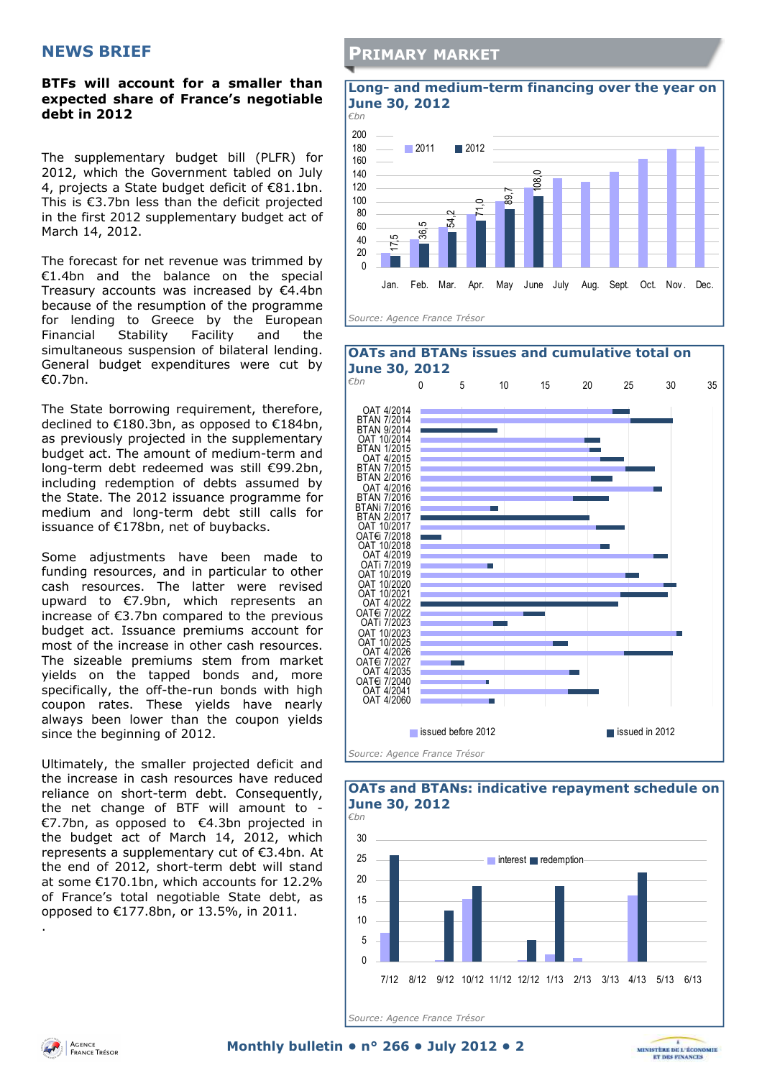#### **BTFs will account for a smaller than expected share of France's negotiable debt in 2012**

The supplementary budget bill (PLFR) for 2012, which the Government tabled on July 4, projects a State budget deficit of €81.1bn. This is €3.7bn less than the deficit projected in the first 2012 supplementary budget act of March 14, 2012.

The forecast for net revenue was trimmed by €1.4bn and the balance on the special Treasury accounts was increased by €4.4bn because of the resumption of the programme for lending to Greece by the European Financial Stability Facility and the simultaneous suspension of bilateral lending. General budget expenditures were cut by €0.7bn.

The State borrowing requirement, therefore, declined to €180.3bn, as opposed to €184bn, as previously projected in the supplementary budget act. The amount of medium-term and long-term debt redeemed was still €99.2bn, including redemption of debts assumed by the State. The 2012 issuance programme for medium and long-term debt still calls for issuance of €178bn, net of buybacks.

Some adjustments have been made to funding resources, and in particular to other cash resources. The latter were revised upward to €7.9bn, which represents an increase of €3.7bn compared to the previous budget act. Issuance premiums account for most of the increase in other cash resources. The sizeable premiums stem from market yields on the tapped bonds and, more specifically, the off-the-run bonds with high coupon rates. These yields have nearly always been lower than the coupon yields since the beginning of 2012.

Ultimately, the smaller projected deficit and the increase in cash resources have reduced reliance on short-term debt. Consequently, the net change of BTF will amount to - €7.7bn, as opposed to €4.3bn projected in the budget act of March 14, 2012, which represents a supplementary cut of €3.4bn. At the end of 2012, short-term debt will stand at some €170.1bn, which accounts for 12.2% of France's total negotiable State debt, as opposed to €177.8bn, or 13.5%, in 2011.

### **PRIMARY MARKET**







*Source: Agence France Trésor* 

.

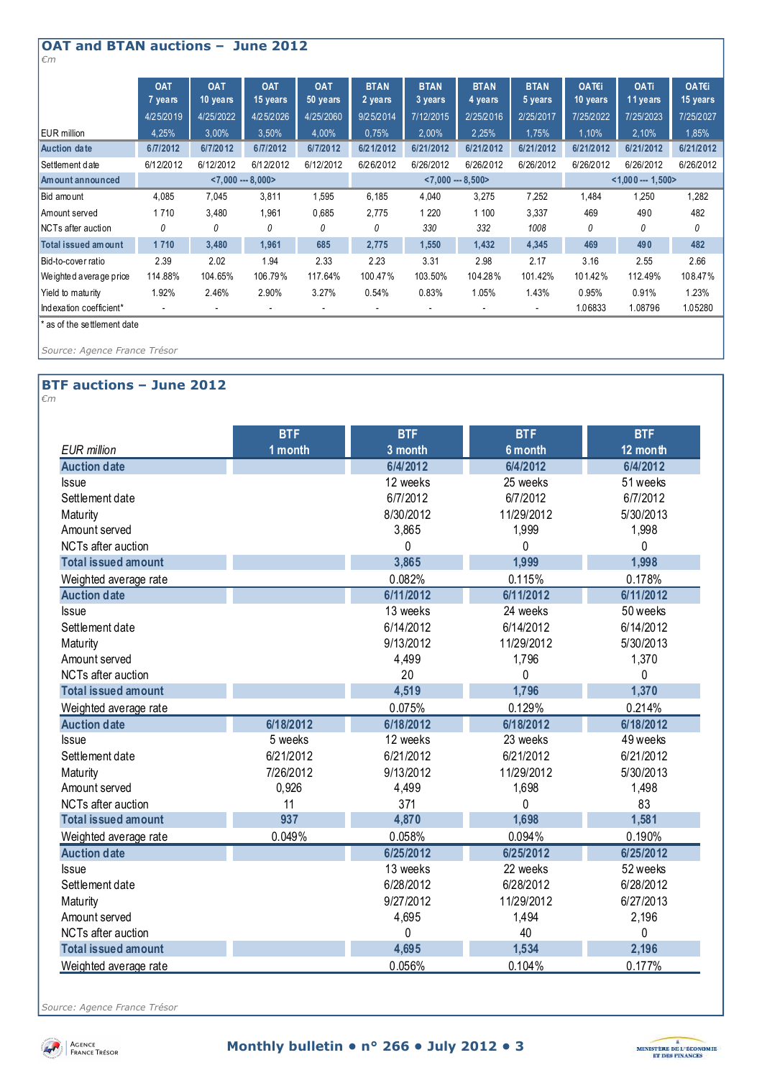| <b>OAT and BTAN auctions -</b><br><b>June 2012</b><br>$\epsilon$ m |                       |                        |                          |                          |                        |                          |                        |                        |                   |                         |                   |
|--------------------------------------------------------------------|-----------------------|------------------------|--------------------------|--------------------------|------------------------|--------------------------|------------------------|------------------------|-------------------|-------------------------|-------------------|
|                                                                    | <b>OAT</b><br>7 years | <b>OAT</b><br>10 years | <b>OAT</b><br>15 years   | <b>OAT</b><br>$50$ years | <b>BTAN</b><br>2 years | <b>BTAN</b><br>3 years   | <b>BTAN</b><br>4 years | <b>BTAN</b><br>5 years | OAT€i<br>10 years | <b>OATi</b><br>11 years | OAT€i<br>15 years |
|                                                                    | 4/25/2019             | 4/25/2022              | 4/25/2026                | 4/25/2060                | 9/25/2014              | 7/12/2015                | 2/25/2016              | 2/25/2017              | 7/25/2022         | 7/25/2023               | 7/25/2027         |
| <b>EUR</b> million                                                 | 4,25%                 | 3,00%                  | 3,50%                    | 4,00%                    | 0.75%                  | 2,00%                    | 2.25%                  | 1,75%                  | 1,10%             | 2,10%                   | 1.85%             |
| <b>Auction date</b>                                                | 6/7/2012              | 6/7/2012               | 6/7/2012                 | 6/7/2012                 | 6/21/2012              | 6/21/2012                | 6/21/2012              | 6/21/2012              | 6/21/2012         | 6/21/2012               | 6/21/2012         |
| Settlement date                                                    | 6/12/2012             | 6/12/2012              | 6/12/2012                | 6/12/2012                | 6/26/2012              | 6/26/2012                | 6/26/2012              | 6/26/2012              | 6/26/2012         | 6/26/2012               | 6/26/2012         |
| Am ount announced                                                  |                       |                        | $< 7,000 - 8,000 >$      |                          | $< 7,000 - 8,500 >$    |                          |                        | $< 1,000 - 1,500$      |                   |                         |                   |
| Bid amount                                                         | 4,085                 | 7,045                  | 3,811                    | 1,595                    | 6,185                  | 4,040                    | 3,275                  | 7,252                  | 1,484             | 1,250                   | 1,282             |
| Amount served                                                      | 1710                  | 3,480                  | 1,961                    | 0,685                    | 2,775                  | 1 2 2 0                  | 1 100                  | 3,337                  | 469               | 490                     | 482               |
| NCTs after auction                                                 | 0                     | 0                      | 0                        | 0                        | 0                      | 330                      | 332                    | 1008                   | 0                 | 0                       | 0                 |
| Total issued amount                                                | 1710                  | 3,480                  | 1,961                    | 685                      | 2,775                  | 1,550                    | 1,432                  | 4,345                  | 469               | 490                     | 482               |
| Bid-to-cover ratio                                                 | 2.39                  | 2.02                   | 1.94                     | 2.33                     | 2.23                   | 3.31                     | 2.98                   | 2.17                   | 3.16              | 2.55                    | 2.66              |
| We ighted a verage price                                           | 114.88%               | 104.65%                | 106.79%                  | 117.64%                  | 100.47%                | 103.50%                  | 104.28%                | 101.42%                | 101.42%           | 112.49%                 | 108.47%           |
| Yield to maturity                                                  | 1.92%                 | 2.46%                  | 2.90%                    | 3.27%                    | 0.54%                  | 0.83%                    | 1.05%                  | 1.43%                  | 0.95%             | 0.91%                   | 1.23%             |
| Indexation coefficient*                                            |                       |                        | $\overline{\phantom{a}}$ |                          | $\overline{a}$         | $\overline{\phantom{a}}$ |                        |                        | 1.06833           | 1.08796                 | 1.05280           |
| * as of the settlement date                                        |                       |                        |                          |                          |                        |                          |                        |                        |                   |                         |                   |

*Source: Agence France Trésor* 

#### **BTF auctions – June 2012**  *€m*

| v |  |  |  |
|---|--|--|--|
|   |  |  |  |
|   |  |  |  |

|                            | <b>BTF</b> | <b>BTF</b> | <b>BTF</b> | <b>BTF</b> |
|----------------------------|------------|------------|------------|------------|
| <b>EUR</b> million         | 1 month    | 3 month    | 6 month    | 12 month   |
| <b>Auction date</b>        |            | 6/4/2012   | 6/4/2012   | 6/4/2012   |
| <b>Issue</b>               |            | 12 weeks   | 25 weeks   | 51 weeks   |
| Settlement date            |            | 6/7/2012   | 6/7/2012   | 6/7/2012   |
| Maturity                   |            | 8/30/2012  | 11/29/2012 | 5/30/2013  |
| Amount served              |            | 3,865      | 1,999      | 1,998      |
| <b>NCTs after auction</b>  |            | 0          | $\Omega$   | 0          |
| <b>Total issued amount</b> |            | 3,865      | 1,999      | 1,998      |
| Weighted average rate      |            | 0.082%     | 0.115%     | 0.178%     |
| <b>Auction date</b>        |            | 6/11/2012  | 6/11/2012  | 6/11/2012  |
| Issue                      |            | 13 weeks   | 24 weeks   | 50 weeks   |
| Settlement date            |            | 6/14/2012  | 6/14/2012  | 6/14/2012  |
| Maturity                   |            | 9/13/2012  | 11/29/2012 | 5/30/2013  |
| Amount served              |            | 4,499      | 1,796      | 1,370      |
| NCTs after auction         |            | 20         | 0          | $\Omega$   |
| <b>Total issued amount</b> |            | 4,519      | 1,796      | 1,370      |
| Weighted average rate      |            | 0.075%     | 0.129%     | 0.214%     |
| <b>Auction date</b>        | 6/18/2012  | 6/18/2012  | 6/18/2012  | 6/18/2012  |
| <b>Issue</b>               | 5 weeks    | 12 weeks   | 23 weeks   | 49 weeks   |
| Settlement date            | 6/21/2012  | 6/21/2012  | 6/21/2012  | 6/21/2012  |
| Maturity                   | 7/26/2012  | 9/13/2012  | 11/29/2012 | 5/30/2013  |
| Amount served              | 0,926      | 4,499      | 1,698      | 1,498      |
| NCTs after auction         | 11         | 371        | $\Omega$   | 83         |
| <b>Total issued amount</b> | 937        | 4,870      | 1,698      | 1,581      |
| Weighted average rate      | 0.049%     | 0.058%     | 0.094%     | 0.190%     |
| <b>Auction date</b>        |            | 6/25/2012  | 6/25/2012  | 6/25/2012  |
| <b>Issue</b>               |            | 13 weeks   | 22 weeks   | 52 weeks   |
| Settlement date            |            | 6/28/2012  | 6/28/2012  | 6/28/2012  |
| Maturity                   |            | 9/27/2012  | 11/29/2012 | 6/27/2013  |
| Amount served              |            | 4,695      | 1,494      | 2,196      |
| NCTs after auction         |            | 0          | 40         | 0          |
| <b>Total issued amount</b> |            | 4,695      | 1,534      | 2,196      |
| Weighted average rate      |            | 0.056%     | 0.104%     | 0.177%     |

*Source: Agence France Trésor* 



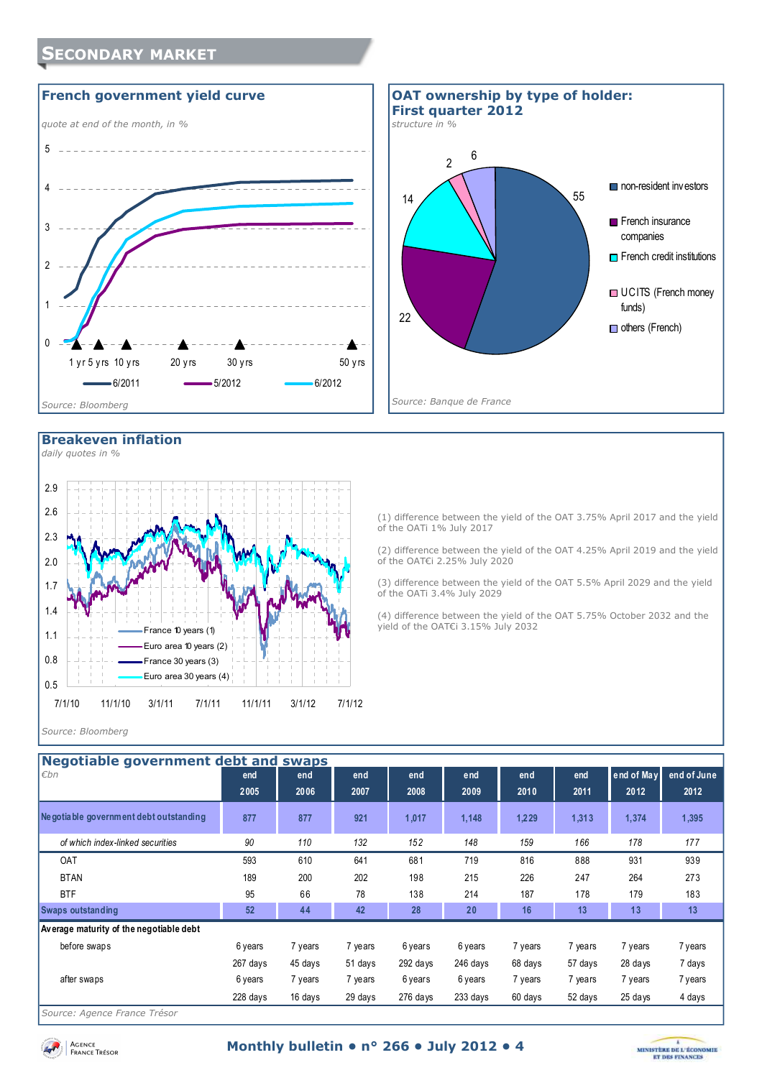



#### **Breakeven inflation**

**SECONDARY MARKET**



(1) difference between the yield of the OAT 3.75% April 2017 and the yield of the OATi 1% July 2017

(2) difference between the yield of the OAT 4.25% April 2019 and the yield of the OAT€i 2.25% July 2020

(3) difference between the yield of the OAT 5.5% April 2029 and the yield of the OATi 3.4% July 2029

(4) difference between the yield of the OAT 5.75% October 2032 and the yield of the OAT€i 3.15% July 2032

#### *Source: Bloomberg*

| Negotiable government debt and swaps    |          |         |         |            |          |         |         |            |             |
|-----------------------------------------|----------|---------|---------|------------|----------|---------|---------|------------|-------------|
| Ebn                                     | end      | end     | end     | end        | end      | end     | end     | end of May | end of June |
|                                         | 2005     | 2006    |         |            |          |         |         | 2012       | 2012        |
|                                         |          |         | 2007    | 2008       | 2009     | 2010    | 2011    |            |             |
| Ne gotiable government debt outstanding | 877      | 877     | 921     | 1,017      | 1,148    | 1,229   | 1,313   | 1,374      | 1,395       |
| of which index-linked securities        | 90       | 110     | 132     | 152        | 148      | 159     | 166     | 178        | 177         |
| <b>OAT</b>                              | 593      | 610     | 641     | 681        | 719      | 816     | 888     | 931        | 939         |
| <b>BTAN</b>                             | 189      | 200     | 202     | 198        | 215      | 226     | 247     | 264        | 273         |
| <b>BTF</b>                              | 95       | 66      | 78      | 138        | 214      | 187     | 178     | 179        | 183         |
| <b>Swaps outstanding</b>                | 52       | 44      | 42      | 28         | 20       | 16      | 13      | 13         | 13          |
| Average maturity of the negotiable debt |          |         |         |            |          |         |         |            |             |
| before swaps                            | 6 years  | 7 years | 7 years | 6 years    | 6 years  | 7 years | 7 years | 7 years    | 7 years     |
|                                         | 267 days | 45 days | 51 days | $292$ days | 246 days | 68 days | 57 days | 28 days    | 7 days      |
| after swaps                             | 6 years  | 7 years | 7 years | 6 years    | 6 years  | 7 years | 7 years | 7 years    | 7 years     |
|                                         | 228 days | 16 days | 29 days | 276 days   | 233 days | 60 days | 52 days | 25 days    | 4 days      |
|                                         |          |         |         |            |          |         |         |            |             |

*Source: Agence France Trésor* 

Agence<br>France Trésor

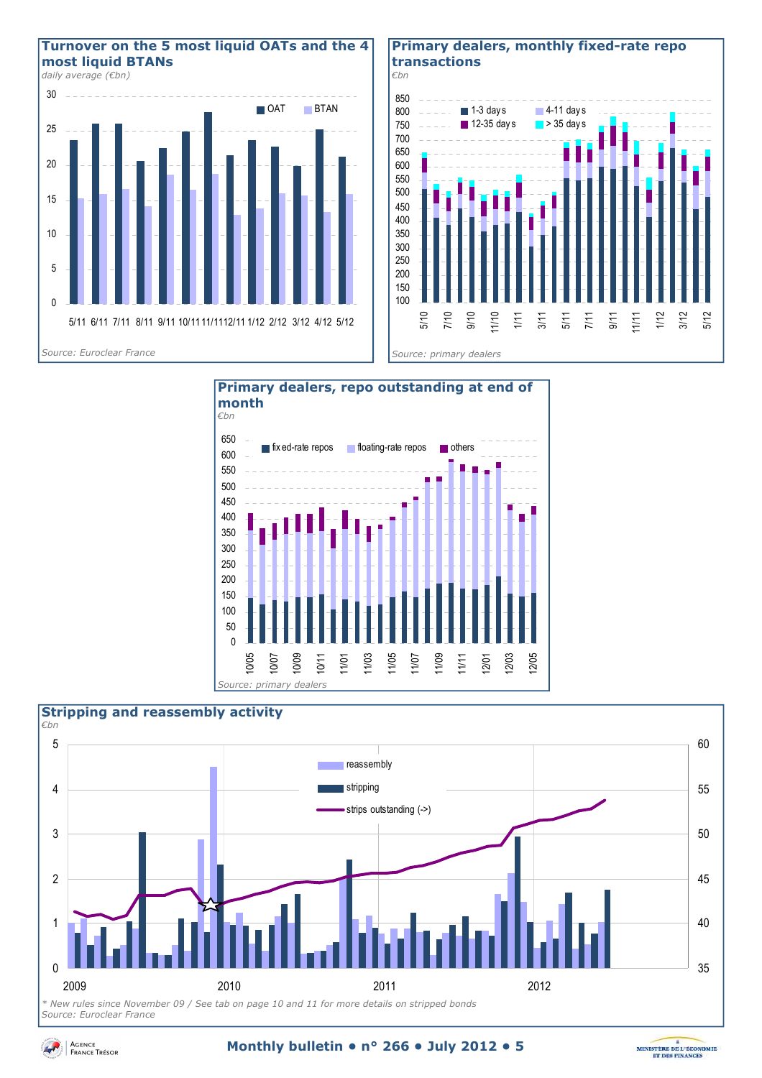

#### **Primary dealers, monthly fixed-rate repo transactions**







*Source: Euroclear France* 



#### **Monthly bulletin • n° 266 • July 2012 • 5**

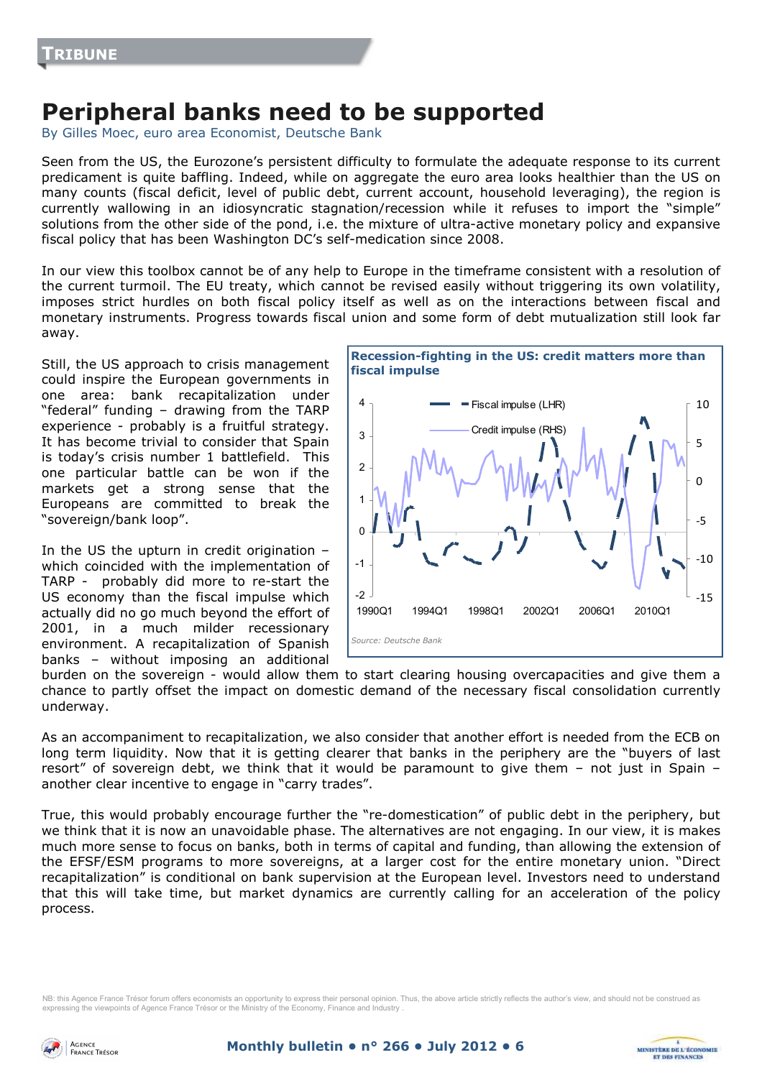# **Peripheral banks need to be supported**

By Gilles Moec, euro area Economist, Deutsche Bank

Seen from the US, the Eurozone's persistent difficulty to formulate the adequate response to its current predicament is quite baffling. Indeed, while on aggregate the euro area looks healthier than the US on many counts (fiscal deficit, level of public debt, current account, household leveraging), the region is currently wallowing in an idiosyncratic stagnation/recession while it refuses to import the "simple" solutions from the other side of the pond, i.e. the mixture of ultra-active monetary policy and expansive fiscal policy that has been Washington DC's self-medication since 2008.

In our view this toolbox cannot be of any help to Europe in the timeframe consistent with a resolution of the current turmoil. The EU treaty, which cannot be revised easily without triggering its own volatility, imposes strict hurdles on both fiscal policy itself as well as on the interactions between fiscal and monetary instruments. Progress towards fiscal union and some form of debt mutualization still look far away.

Still, the US approach to crisis management could inspire the European governments in one area: bank recapitalization under "federal" funding – drawing from the TARP experience - probably is a fruitful strategy. It has become trivial to consider that Spain is today's crisis number 1 battlefield. This one particular battle can be won if the markets get a strong sense that the Europeans are committed to break the "sovereign/bank loop".

In the US the upturn in credit origination – which coincided with the implementation of TARP - probably did more to re-start the US economy than the fiscal impulse which actually did no go much beyond the effort of 2001, in a much milder recessionary environment. A recapitalization of Spanish banks – without imposing an additional



**MINISTÈRE DE L'ÉCONOMIE** 

**ET DES FINANCE** 

burden on the sovereign - would allow them to start clearing housing overcapacities and give them a chance to partly offset the impact on domestic demand of the necessary fiscal consolidation currently underway.

As an accompaniment to recapitalization, we also consider that another effort is needed from the ECB on long term liquidity. Now that it is getting clearer that banks in the periphery are the "buyers of last resort" of sovereign debt, we think that it would be paramount to give them – not just in Spain – another clear incentive to engage in "carry trades".

True, this would probably encourage further the "re-domestication" of public debt in the periphery, but we think that it is now an unavoidable phase. The alternatives are not engaging. In our view, it is makes much more sense to focus on banks, both in terms of capital and funding, than allowing the extension of the EFSF/ESM programs to more sovereigns, at a larger cost for the entire monetary union. "Direct recapitalization" is conditional on bank supervision at the European level. Investors need to understand that this will take time, but market dynamics are currently calling for an acceleration of the policy process.

NB: this Agence France Trésor forum offers economists an opportunity to express their personal opinion. Thus, the above article strictly reflects the author's view, and should not be construed as expressing the viewpoints of Agence France Trésor or the Ministry of the Economy, Finance and Industry .

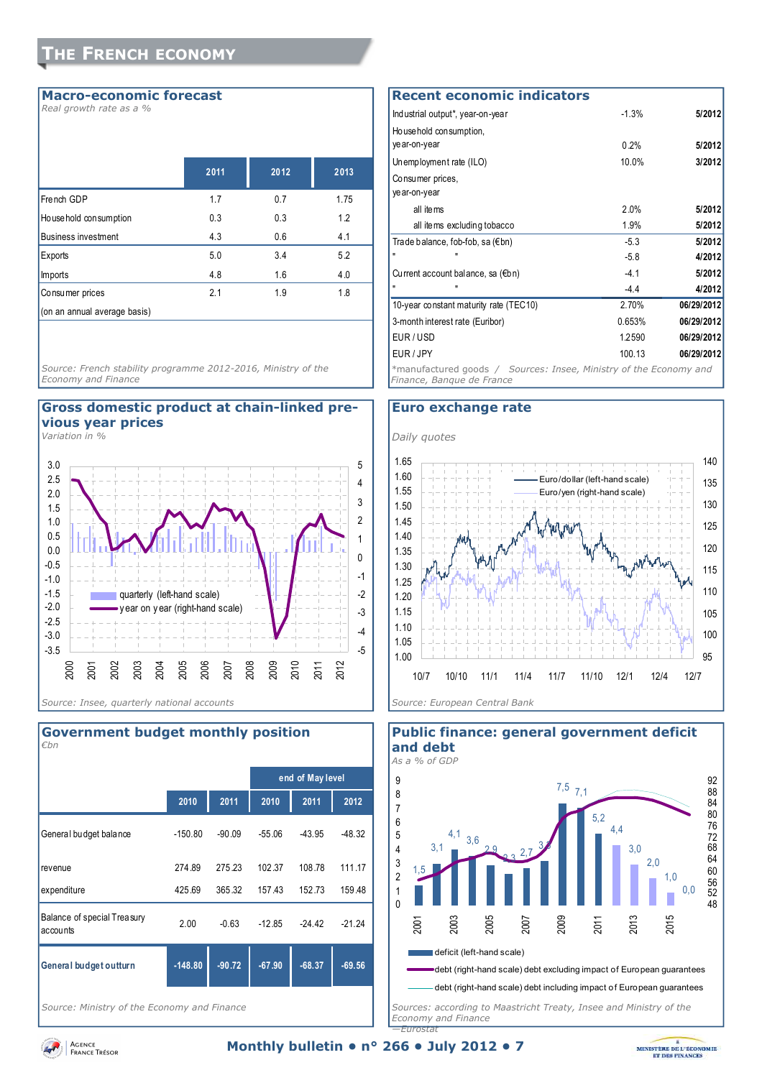#### **Macro-economic forecast**

*Real growth rate as a %* 

|                              | 2011 | 2012 | 2013 |
|------------------------------|------|------|------|
| French GDP                   | 1.7  | 0.7  | 1.75 |
| House hold consumption       | 0.3  | 0.3  | 1.2  |
| <b>Business investment</b>   | 4.3  | 0.6  | 4.1  |
| Exports                      | 5.0  | 3.4  | 5.2  |
| Imports                      | 4.8  | 1.6  | 4.0  |
| Consumer prices              | 2.1  | 1.9  | 1.8  |
| (on an annual average basis) |      |      |      |

*Source: French stability programme 2012-2016, Ministry of the Economy and Finance* 

#### **Gross domestic product at chain-linked previous year prices**

*Variation in %* 





*Source: Ministry of the Economy and Finance* 

| <b>Recent economic indicators</b>                                                              |         |            |
|------------------------------------------------------------------------------------------------|---------|------------|
| Industrial output*, year-on-year                                                               | $-1.3%$ | 5/2012     |
| Household consumption.                                                                         |         |            |
| ye ar-on-year                                                                                  | 0.2%    | 5/2012     |
| Unemployment rate (ILO)                                                                        | 10.0%   | 3/2012     |
| Consumer prices,                                                                               |         |            |
| ye ar-on-year                                                                                  |         |            |
| all items                                                                                      | 2 በ%    | 5/2012     |
| all items excluding tobacco                                                                    | 1.9%    | 5/2012     |
| Trade balance, fob-fob, sa (€bn)                                                               | $-5.3$  | 5/2012     |
|                                                                                                | $-5.8$  | 4/2012     |
| Current account balance, sa $(\epsilon b n)$                                                   | $-4.1$  | 5/2012     |
|                                                                                                | $-4.4$  | 4/2012     |
| 10-year constant maturity rate (TEC10)                                                         | 2.70%   | 06/29/2012 |
| 3-month interest rate (Euribor)                                                                | 0.653%  | 06/29/2012 |
| EUR/USD                                                                                        | 1.2590  | 06/29/2012 |
| EUR / JPY                                                                                      | 100.13  | 06/29/2012 |
| *manufactured goods / Sources: Insee, Ministry of the Economy and<br>Finance, Banque de France |         |            |

#### **Euro exchange rate**





*Sources: according to Maastricht Treaty, Insee and Ministry of the Economy and Finance —Eurostat* 

**Public finance: general government deficit and debt** 

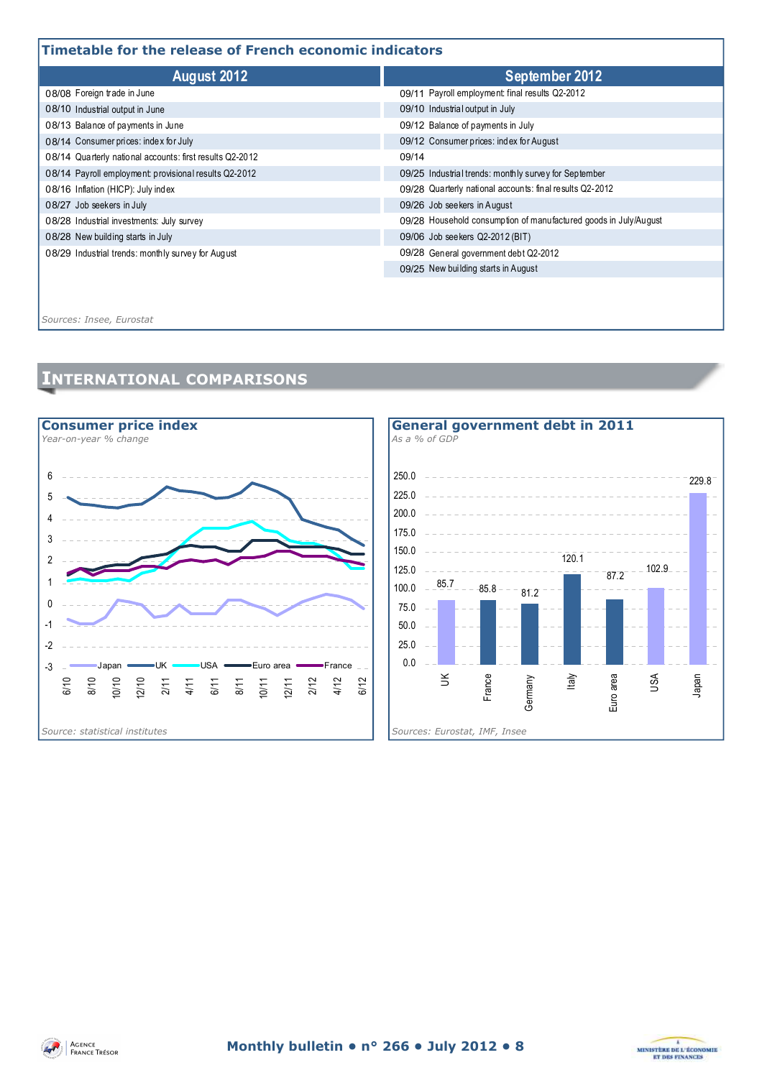### **Timetable for the release of French economic indicators**

| August 2012                                              | September 2012                                                   |  |  |  |  |
|----------------------------------------------------------|------------------------------------------------------------------|--|--|--|--|
| 08/08 Foreign trade in June                              | 09/11 Payroll employment final results Q2-2012                   |  |  |  |  |
| 08/10 Industrial output in June                          | 09/10 Industrial output in July                                  |  |  |  |  |
| 08/13 Balance of payments in June                        | 09/12 Balance of payments in July                                |  |  |  |  |
| 08/14 Consumer prices: index for July                    | 09/12 Consumer prices: index for August                          |  |  |  |  |
| 08/14 Quarterly national accounts: first results Q2-2012 | 09/14                                                            |  |  |  |  |
| 08/14 Payroll employment: provisional results Q2-2012    | 09/25 Industrial trends: monthly survey for September            |  |  |  |  |
| 08/16 Inflation (HICP): July index                       | 09/28 Quarterly national accounts: final results Q2-2012         |  |  |  |  |
| 08/27 Job seekers in July                                | 09/26 Job seekers in August                                      |  |  |  |  |
| 08/28 Industrial investments: July survey                | 09/28 Household consumption of manufactured goods in July/August |  |  |  |  |
| 08/28 New building starts in July                        | 09/06 Job see kers Q2-2012 (BIT)                                 |  |  |  |  |
| 08/29 Industrial trends: monthly survey for August       | 09/28 General government debt Q2-2012                            |  |  |  |  |
|                                                          | 09/25 New building starts in August                              |  |  |  |  |
|                                                          |                                                                  |  |  |  |  |

*Sources: Insee, Eurostat*

# **INTERNATIONAL COMPARISONS**





87.2

Euro area

102.9

USA

Japan

229.8

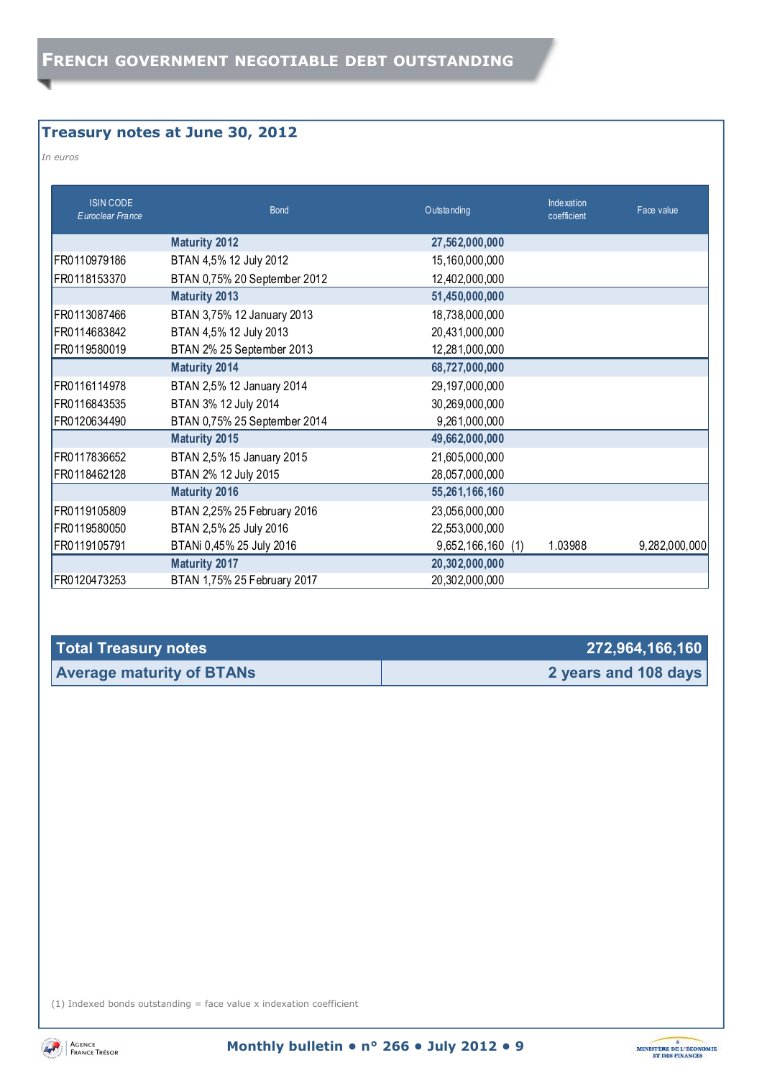## **Treasury notes at June 30, 2012**

*In euros* 

| <b>ISIN CODE</b><br>Euroclear France | <b>Bond</b>                  | O utstanding      | Indexation<br>coefficient | Face value    |
|--------------------------------------|------------------------------|-------------------|---------------------------|---------------|
|                                      | <b>Maturity 2012</b>         | 27,562,000,000    |                           |               |
| FR0110979186                         | BTAN 4,5% 12 July 2012       | 15,160,000,000    |                           |               |
| FR0118153370                         | BTAN 0,75% 20 September 2012 | 12,402,000,000    |                           |               |
|                                      | <b>Maturity 2013</b>         | 51,450,000,000    |                           |               |
| FR0113087466                         | BTAN 3,75% 12 January 2013   | 18,738,000,000    |                           |               |
| FR0114683842                         | BTAN 4,5% 12 July 2013       | 20,431,000,000    |                           |               |
| FR0119580019                         | BTAN 2% 25 September 2013    | 12,281,000,000    |                           |               |
|                                      | <b>Maturity 2014</b>         | 68,727,000,000    |                           |               |
| FR0116114978                         | BTAN 2,5% 12 January 2014    | 29,197,000,000    |                           |               |
| FR0116843535                         | BTAN 3% 12 July 2014         | 30,269,000,000    |                           |               |
| FR0120634490                         | BTAN 0,75% 25 September 2014 | 9,261,000,000     |                           |               |
|                                      | <b>Maturity 2015</b>         | 49,662,000,000    |                           |               |
| FR0117836652                         | BTAN 2,5% 15 January 2015    | 21,605,000,000    |                           |               |
| FR0118462128                         | BTAN 2% 12 July 2015         | 28,057,000,000    |                           |               |
|                                      | <b>Maturity 2016</b>         | 55,261,166,160    |                           |               |
| FR0119105809                         | BTAN 2,25% 25 February 2016  | 23,056,000,000    |                           |               |
| FR0119580050                         | BTAN 2,5% 25 July 2016       | 22,553,000,000    |                           |               |
| FR0119105791                         | BTANi 0,45% 25 July 2016     | 9,652,166,160 (1) | 1.03988                   | 9,282,000,000 |
|                                      | <b>Maturity 2017</b>         | 20,302,000,000    |                           |               |
| FR0120473253                         | BTAN 1,75% 25 February 2017  | 20,302,000,000    |                           |               |

| Total Treasury notes             | 272,964,166,160      |
|----------------------------------|----------------------|
| <b>Average maturity of BTANs</b> | 2 years and 108 days |

(1) Indexed bonds outstanding  $=$  face value x indexation coefficient



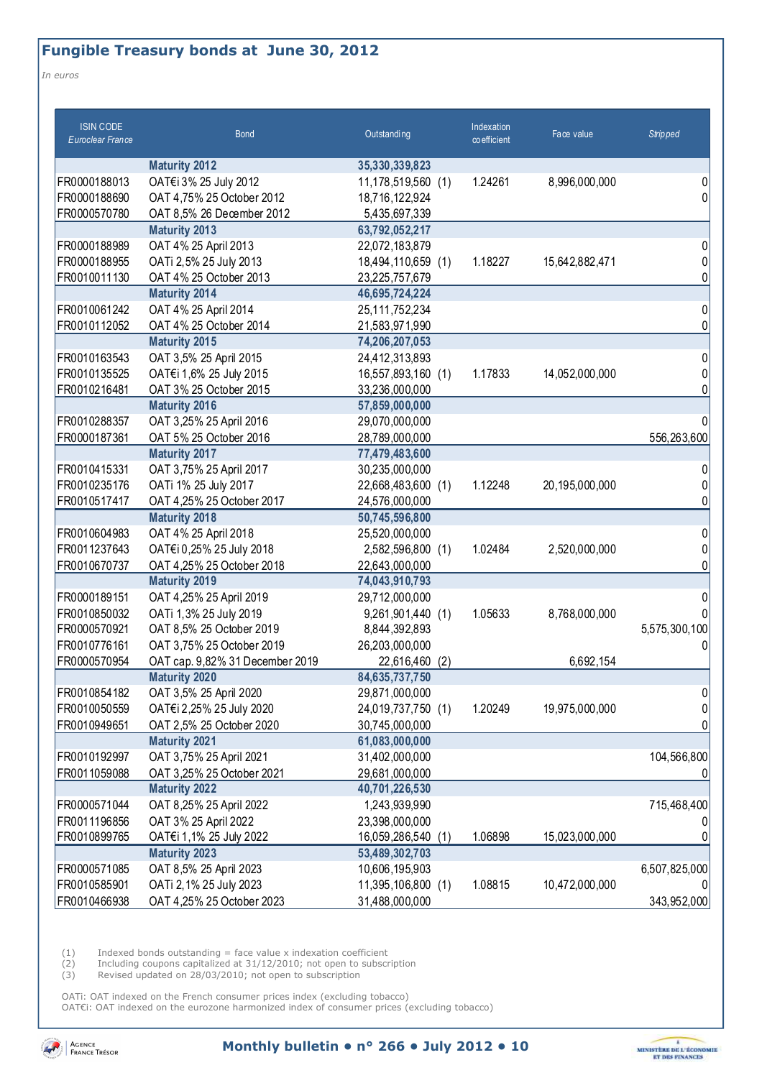## **Fungible Treasury bonds at June 30, 2012**

*In euros* 

| <b>ISIN CODE</b><br><b>Euroclear France</b> | <b>Bond</b>                     | Outstanding           | Indexation<br>$\infty$ efficient | Face value     | <b>Stripped</b> |
|---------------------------------------------|---------------------------------|-----------------------|----------------------------------|----------------|-----------------|
|                                             | <b>Maturity 2012</b>            | 35,330,339,823        |                                  |                |                 |
| FR0000188013                                | OAT€i 3% 25 July 2012           | 11,178,519,560 (1)    | 1.24261                          | 8,996,000,000  | 0               |
| FR0000188690                                | OAT 4,75% 25 October 2012       | 18,716,122,924        |                                  |                | 0               |
| FR0000570780                                | OAT 8,5% 26 December 2012       | 5,435,697,339         |                                  |                |                 |
|                                             | <b>Maturity 2013</b>            | 63,792,052,217        |                                  |                |                 |
| FR0000188989                                | OAT 4% 25 April 2013            | 22,072,183,879        |                                  |                | 0               |
| FR0000188955                                | OATi 2,5% 25 July 2013          | 18,494,110,659 (1)    | 1.18227                          | 15,642,882,471 |                 |
| FR0010011130                                | OAT 4% 25 October 2013          | 23,225,757,679        |                                  |                | ი               |
|                                             | <b>Maturity 2014</b>            | 46,695,724,224        |                                  |                |                 |
| FR0010061242                                | OAT 4% 25 April 2014            | 25,111,752,234        |                                  |                | 0               |
| FR0010112052                                | OAT 4% 25 October 2014          | 21,583,971,990        |                                  |                | 0               |
|                                             | <b>Maturity 2015</b>            | 74,206,207,053        |                                  |                |                 |
| FR0010163543                                | OAT 3,5% 25 April 2015          | 24,412,313,893        |                                  |                | 0               |
| FR0010135525                                | OAT€i 1,6% 25 July 2015         | 16,557,893,160 (1)    | 1.17833                          | 14,052,000,000 |                 |
| FR0010216481                                | OAT 3% 25 October 2015          | 33,236,000,000        |                                  |                |                 |
|                                             | <b>Maturity 2016</b>            | 57,859,000,000        |                                  |                |                 |
| FR0010288357                                | OAT 3,25% 25 April 2016         | 29,070,000,000        |                                  |                | 0               |
| FR0000187361                                | OAT 5% 25 October 2016          | 28,789,000,000        |                                  |                | 556,263,600     |
|                                             | <b>Maturity 2017</b>            | 77,479,483,600        |                                  |                |                 |
| FR0010415331                                | OAT 3,75% 25 April 2017         | 30,235,000,000        |                                  |                |                 |
| FR0010235176                                | OATi 1% 25 July 2017            | 22,668,483,600 (1)    | 1.12248                          | 20,195,000,000 |                 |
| FR0010517417                                | OAT 4,25% 25 October 2017       | 24,576,000,000        |                                  |                | ი               |
|                                             | <b>Maturity 2018</b>            | 50,745,596,800        |                                  |                |                 |
| FR0010604983                                | OAT 4% 25 April 2018            | 25,520,000,000        |                                  |                | 0               |
| FR0011237643                                | OAT€i 0,25% 25 July 2018        | 2,582,596,800 (1)     | 1.02484                          | 2,520,000,000  |                 |
| FR0010670737                                | OAT 4,25% 25 October 2018       | 22,643,000,000        |                                  |                |                 |
|                                             | <b>Maturity 2019</b>            | 74,043,910,793        |                                  |                |                 |
| FR0000189151                                | OAT 4,25% 25 April 2019         | 29,712,000,000        |                                  |                | 0               |
| FR0010850032                                | OATi 1,3% 25 July 2019          | 9,261,901,440 (1)     | 1.05633                          | 8,768,000,000  |                 |
| FR0000570921                                | OAT 8,5% 25 October 2019        | 8,844,392,893         |                                  |                | 5,575,300,100   |
| FR0010776161                                | OAT 3,75% 25 October 2019       | 26,203,000,000        |                                  |                |                 |
| FR0000570954                                | OAT cap. 9,82% 31 December 2019 | 22,616,460<br>(2)     |                                  | 6,692,154      |                 |
|                                             | <b>Maturity 2020</b>            | 84,635,737,750        |                                  |                |                 |
| FR0010854182                                | OAT 3,5% 25 April 2020          | 29,871,000,000        |                                  |                | 0               |
| FR0010050559                                | OAT€i 2,25% 25 July 2020        | 24,019,737,750 (1)    | 1.20249                          | 19,975,000,000 |                 |
| FR0010949651                                | OAT 2,5% 25 October 2020        | 30,745,000,000        |                                  |                |                 |
|                                             | <b>Maturity 2021</b>            | 61,083,000,000        |                                  |                |                 |
| FR0010192997                                | OAT 3,75% 25 April 2021         | 31,402,000,000        |                                  |                | 104,566,800     |
| FR0011059088                                | OAT 3,25% 25 October 2021       | 29,681,000,000        |                                  |                |                 |
|                                             | <b>Maturity 2022</b>            | 40,701,226,530        |                                  |                |                 |
| FR0000571044                                | OAT 8,25% 25 April 2022         | 1,243,939,990         |                                  |                | 715,468,400     |
| FR0011196856                                | OAT 3% 25 April 2022            | 23,398,000,000        |                                  |                |                 |
| FR0010899765                                | OAT€i 1,1% 25 July 2022         | 16,059,286,540<br>(1) | 1.06898                          | 15,023,000,000 |                 |
|                                             | <b>Maturity 2023</b>            | 53,489,302,703        |                                  |                |                 |
| FR0000571085                                | OAT 8,5% 25 April 2023          | 10,606,195,903        |                                  |                | 6,507,825,000   |
| FR0010585901                                | OATi 2, 1% 25 July 2023         | 11,395,106,800 (1)    | 1.08815                          | 10,472,000,000 |                 |
| FR0010466938                                | OAT 4,25% 25 October 2023       | 31,488,000,000        |                                  |                | 343,952,000     |

 $(1)$  Indexed bonds outstanding = face value x indexation coefficient

(2) Including coupons capitalized at 31/12/2010; not open to subscription

(3) Revised updated on 28/03/2010; not open to subscription

OATi: OAT indexed on the French consumer prices index (excluding tobacco) OAT€i: OAT indexed on the eurozone harmonized index of consumer prices (excluding tobacco)



**Monthly bulletin • n° 266 • July 2012 • 10** 

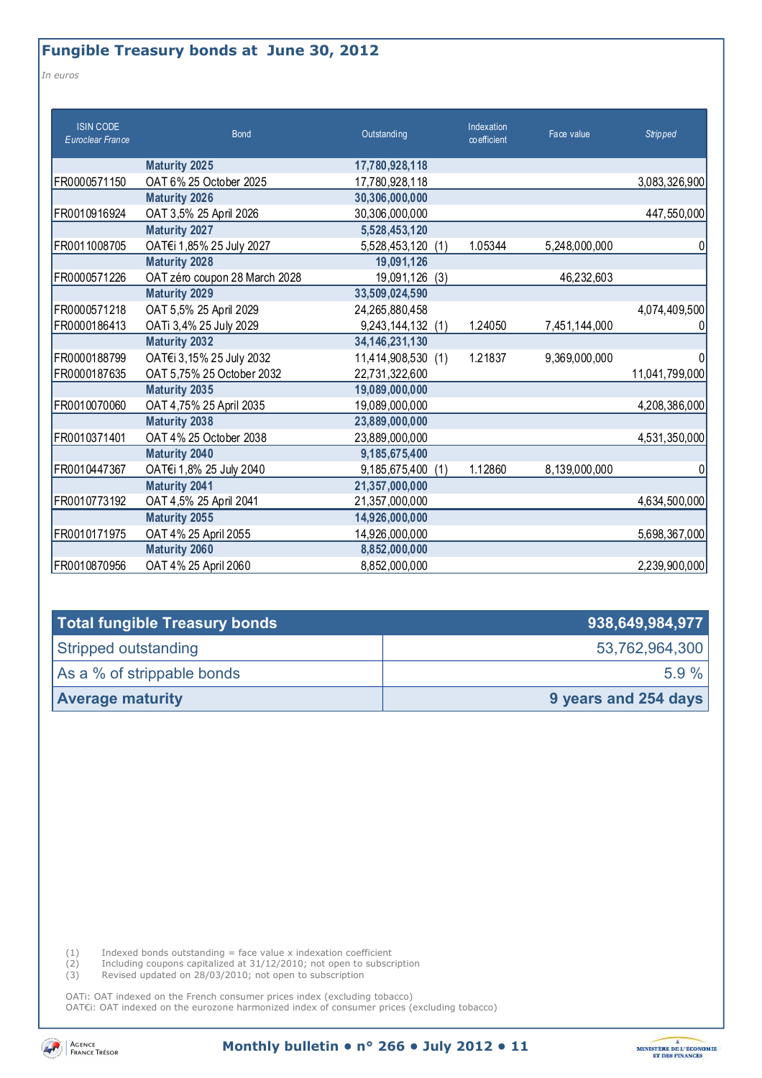*In euros* 

| <b>ISIN CODE</b><br>Euroclear France | <b>Bond</b>                   | Outstanding          | Indexation<br>$\infty$ efficient | Face value    | <b>Stripped</b> |
|--------------------------------------|-------------------------------|----------------------|----------------------------------|---------------|-----------------|
|                                      | <b>Maturity 2025</b>          | 17,780,928,118       |                                  |               |                 |
| FR0000571150                         | OAT 6% 25 October 2025        | 17,780,928,118       |                                  |               | 3,083,326,900   |
|                                      | <b>Maturity 2026</b>          | 30,306,000,000       |                                  |               |                 |
| FR0010916924                         | OAT 3,5% 25 April 2026        | 30,306,000,000       |                                  |               | 447,550,000     |
|                                      | <b>Maturity 2027</b>          | 5,528,453,120        |                                  |               |                 |
| FR0011008705                         | OAT€i 1,85% 25 July 2027      | 5,528,453,120<br>(1) | 1.05344                          | 5,248,000,000 | 0               |
|                                      | <b>Maturity 2028</b>          | 19,091,126           |                                  |               |                 |
| FR0000571226                         | OAT zéro coupon 28 March 2028 | 19,091,126<br>(3)    |                                  | 46,232,603    |                 |
|                                      | <b>Maturity 2029</b>          | 33,509,024,590       |                                  |               |                 |
| FR0000571218                         | OAT 5,5% 25 April 2029        | 24,265,880,458       |                                  |               | 4,074,409,500   |
| FR0000186413                         | OATi 3,4% 25 July 2029        | 9,243,144,132 (1)    | 1.24050                          | 7,451,144,000 | 0               |
|                                      | <b>Maturity 2032</b>          | 34, 146, 231, 130    |                                  |               |                 |
| FR0000188799                         | OAT€i 3,15% 25 July 2032      | 11,414,908,530 (1)   | 1.21837                          | 9,369,000,000 | 0               |
| FR0000187635                         | OAT 5,75% 25 October 2032     | 22,731,322,600       |                                  |               | 11,041,799,000  |
|                                      | <b>Maturity 2035</b>          | 19,089,000,000       |                                  |               |                 |
| FR0010070060                         | OAT 4,75% 25 April 2035       | 19,089,000,000       |                                  |               | 4,208,386,000   |
|                                      | <b>Maturity 2038</b>          | 23,889,000,000       |                                  |               |                 |
| FR0010371401                         | OAT 4% 25 October 2038        | 23,889,000,000       |                                  |               | 4,531,350,000   |
|                                      | <b>Maturity 2040</b>          | 9,185,675,400        |                                  |               |                 |
| FR0010447367                         | OAT€i 1,8% 25 July 2040       | 9,185,675,400<br>(1) | 1.12860                          | 8,139,000,000 | 0               |
|                                      | <b>Maturity 2041</b>          | 21,357,000,000       |                                  |               |                 |
| FR0010773192                         | OAT 4,5% 25 April 2041        | 21,357,000,000       |                                  |               | 4,634,500,000   |
|                                      | <b>Maturity 2055</b>          | 14,926,000,000       |                                  |               |                 |
| FR0010171975                         | OAT 4% 25 April 2055          | 14,926,000,000       |                                  |               | 5,698,367,000   |
|                                      | <b>Maturity 2060</b>          | 8,852,000,000        |                                  |               |                 |
| FR0010870956                         | OAT 4% 25 April 2060          | 8,852,000,000        |                                  |               | 2,239,900,000   |

| Total fungible Treasury bonds | 938,649,984,977      |  |
|-------------------------------|----------------------|--|
| Stripped outstanding          | 53,762,964,300       |  |
| As a % of strippable bonds    | $5.9 \%$             |  |
| <b>Average maturity</b>       | 9 years and 254 days |  |

 $(1)$  Indexed bonds outstanding = face value x indexation coefficient

(2) Including coupons capitalized at 31/12/2010; not open to subscription

(3) Revised updated on 28/03/2010; not open to subscription

OATi: OAT indexed on the French consumer prices index (excluding tobacco) OAT€i: OAT indexed on the eurozone harmonized index of consumer prices (excluding tobacco)